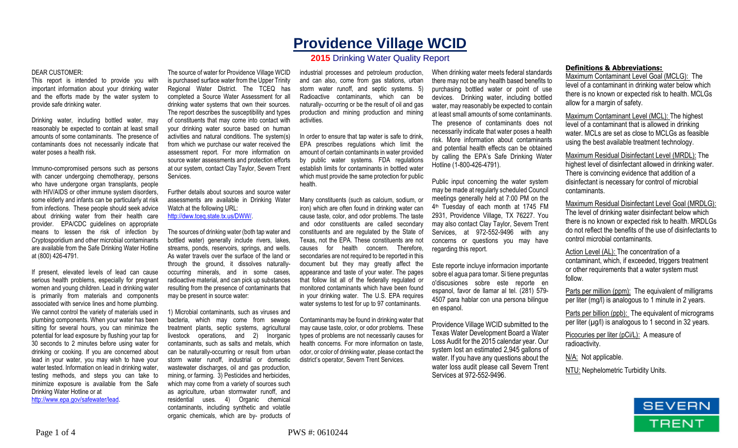# **Providence Village WCID**

## **2015** Drinking Water Quality Report

#### DEAR CUSTOMER:

This report is intended to provide you with important information about your drinking water and the efforts made by the water system to provide safe drinking water.

Drinking water, including bottled water, may reasonably be expected to contain at least small amounts of some contaminants. The presence of contaminants does not necessarily indicate that water poses a health risk.

Immuno-compromised persons such as persons with cancer undergoing chemotherapy, persons who have undergone organ transplants, people with HIV/AIDS or other immune system disorders, some elderly and infants can be particularly at risk from infections. These people should seek advice about drinking water from their health care provider. EPA/CDC guidelines on appropriate means to lessen the risk of infection by Cryptosporidium and other microbial contaminants are available from the Safe Drinking Water Hotline at (800) 426-4791.

If present, elevated levels of lead can cause serious health problems, especially for pregnant women and young children. Lead in drinking water is primarily from materials and components associated with service lines and home plumbing. We cannot control the variety of materials used in plumbing components. When your water has been sitting for several hours, you can minimize the potential for lead exposure by flushing your tap for 30 seconds to 2 minutes before using water for drinking or cooking. If you are concerned about lead in your water, you may wish to have your water tested. Information on lead in drinking water, testing methods, and steps you can take to minimize exposure is available from the Safe Drinking Water Hotline or at http://www.epa.gov/safewater/lead.

The source of water for Providence Village WCID is purchased surface water from the Upper Trinity Regional Water District. The TCEQ has completed a Source Water Assessment for all drinking water systems that own their sources. The report describes the susceptibility and types of constituents that may come into contact with your drinking water source based on human activities and natural conditions. The system(s) from which we purchase our water received the assessment report. For more information on source water assessments and protection efforts at our system, contact Clay Taylor, Severn Trent

Further details about sources and source water assessments are available in Drinking Water Watch at the following URL:

http://dww.tceq.state.tx.us/DWW/.

Services.

The sources of drinking water (both tap water and bottled water) generally include rivers, lakes, streams, ponds, reservoirs, springs, and wells. As water travels over the surface of the land or through the ground, it dissolves naturallyoccurring minerals, and in some cases, radioactive material, and can pick up substances resulting from the presence of contaminants that may be present in source water:

1) Microbial contaminants, such as viruses and bacteria, which may come from sewage treatment plants, septic systems, agricultural livestock operations, and 2) Inorganic contaminants, such as salts and metals, which can be naturally-occurring or result from urban storm water runoff, industrial or domestic wastewater discharges, oil and gas production, mining, or farming. 3) Pesticides and herbicides, which may come from a variety of sources such as agriculture, urban stormwater runoff, and residential uses. 4) Organic chemical contaminants, including synthetic and volatile organic chemicals, which are by- products of

industrial processes and petroleum production, and can also, come from gas stations, urban storm water runoff, and septic systems. 5) Radioactive contaminants, which can be naturally- occurring or be the result of oil and gas production and mining production and mining activities.

In order to ensure that tap water is safe to drink, EPA prescribes regulations which limit the amount of certain contaminants in water provided by public water systems. FDA regulations establish limits for contaminants in bottled water which must provide the same protection for public health.

Many constituents (such as calcium, sodium, or iron) which are often found in drinking water can cause taste, color, and odor problems. The taste and odor constituents are called secondary constituents and are regulated by the State of Texas, not the EPA. These constituents are not causes for health concern. Therefore, secondaries are not required to be reported in this document but they may greatly affect the appearance and taste of your water. The pages that follow list all of the federally regulated or monitored contaminants which have been found in your drinking water. The U.S. EPA requires water systems to test for up to 97 contaminants.

Contaminants may be found in drinking water that may cause taste, color, or odor problems. These types of problems are not necessarily causes for health concerns. For more information on taste, odor, or color of drinking water, please contact the district's operator, Severn Trent Services.

When drinking water meets federal standards there may not be any health based benefits to purchasing bottled water or point of use devices. Drinking water, including bottled water, may reasonably be expected to contain at least small amounts of some contaminants. The presence of contaminants does not necessarily indicate that water poses a health risk. More information about contaminants and potential health effects can be obtained by calling the EPA's Safe Drinking Water Hotline (1-800-426-4791).

Public input concerning the water system may be made at regularly scheduled Council meetings generally held at 7:00 PM on the 4 th Tuesday of each month at 1745 FM 2931, Providence Village, TX 76227. You may also contact Clay Taylor, Severn Trent Services, at 972-552-9496 with any concerns or questions you may have regarding this report.

Este reporte incluye informacion importante sobre el agua para tomar. Si tiene preguntas o'discusiones sobre este reporte en espanol, favor de llamar al tel. (281) 579- 4507 para hablar con una persona bilingue en espanol.

Providence Village WCID submitted to the Texas Water Development Board a Water Loss Audit for the 2015 calendar year. Our system lost an estimated 2,945 gallons of water. If you have any questions about the water loss audit please call Severn Trent Services at 972-552-9496.

#### **Definitions & Abbreviations:**

Maximum Contaminant Level Goal (MCLG): The level of a contaminant in drinking water below which there is no known or expected risk to health. MCLGs allow for a margin of safety.

Maximum Contaminant Level (MCL): The highest level of a contaminant that is allowed in drinking water. MCLs are set as close to MCLGs as feasible using the best available treatment technology.

Maximum Residual Disinfectant Level (MRDL): The highest level of disinfectant allowed in drinking water. There is convincing evidence that addition of a disinfectant is necessary for control of microbial contaminants.

Maximum Residual Disinfectant Level Goal (MRDLG): The level of drinking water disinfectant below which there is no known or expected risk to health. MRDLGs do not reflect the benefits of the use of disinfectants to control microbial contaminants.

Action Level (AL): The concentration of a contaminant, which, if exceeded, triggers treatment or other requirements that a water system must follow.

Parts per million (ppm): The equivalent of milligrams per liter (mg/l) is analogous to 1 minute in 2 years.

Parts per billion (ppb): The equivalent of micrograms per liter  $(\mu g/l)$  is analogous to 1 second in 32 years.

Picocuries per liter (pCi/L): A measure of radioactivity.

N/A: Not applicable.

NTU: Nephelometric Turbidity Units.

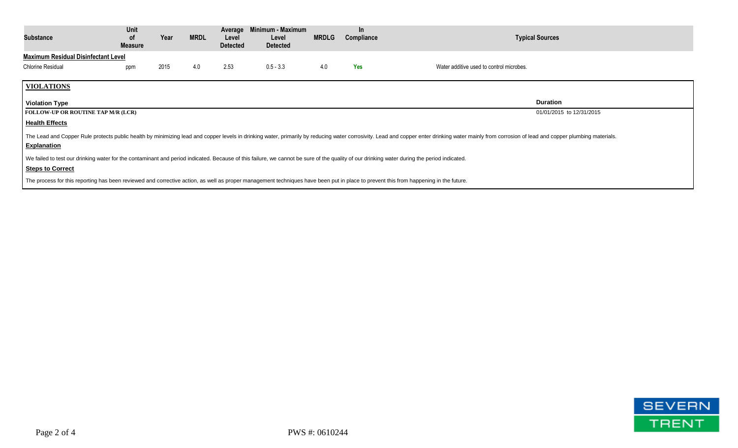| Substance                                                                                                                                                                                                                                     | Unit<br><b>of</b><br><b>Measure</b> | Year | <b>MRDL</b> | Average<br>Level<br><b>Detected</b> | Minimum - Maximum<br>Level<br><b>Detected</b> | <b>MRDLG</b> | $\ln$<br>Compliance | <b>Typical Sources</b>                   |
|-----------------------------------------------------------------------------------------------------------------------------------------------------------------------------------------------------------------------------------------------|-------------------------------------|------|-------------|-------------------------------------|-----------------------------------------------|--------------|---------------------|------------------------------------------|
| <b>Maximum Residual Disinfectant Level</b>                                                                                                                                                                                                    |                                     |      |             |                                     |                                               |              |                     |                                          |
| <b>Chlorine Residual</b>                                                                                                                                                                                                                      | ppm                                 | 2015 | 4.0         | 2.53                                | $0.5 - 3.3$                                   | 4.0          | <b>Yes</b>          | Water additive used to control microbes. |
| <b>VIOLATIONS</b>                                                                                                                                                                                                                             |                                     |      |             |                                     |                                               |              |                     |                                          |
| <b>Violation Type</b>                                                                                                                                                                                                                         |                                     |      |             |                                     |                                               |              |                     | <b>Duration</b>                          |
| <b>FOLLOW-UP OR ROUTINE TAP M/R (LCR)</b>                                                                                                                                                                                                     |                                     |      |             |                                     |                                               |              |                     | 01/01/2015 to 12/31/2015                 |
| <b>Health Effects</b>                                                                                                                                                                                                                         |                                     |      |             |                                     |                                               |              |                     |                                          |
| The Lead and Copper Rule protects public health by minimizing lead and copper levels in drinking water, primarily by reducing water corrosivity. Lead and copper enter drinking water mainly from corrosion of lead and copper<br>Explanation |                                     |      |             |                                     |                                               |              |                     |                                          |
| We failed to test our drinking water for the contaminant and period indicated. Because of this failure, we cannot be sure of the quality of our drinking water during the period indicated.                                                   |                                     |      |             |                                     |                                               |              |                     |                                          |
| <b>Steps to Correct</b>                                                                                                                                                                                                                       |                                     |      |             |                                     |                                               |              |                     |                                          |
| The process for this reporting has been reviewed and corrective action, as well as proper management techniques have been put in place to prevent this from happening in the future.                                                          |                                     |      |             |                                     |                                               |              |                     |                                          |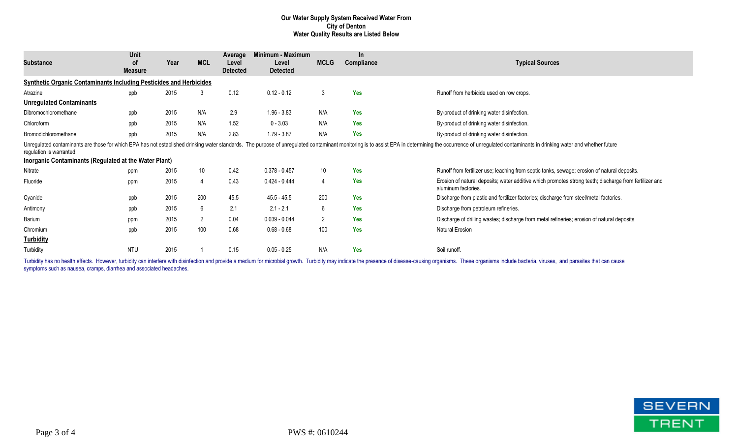### **Our Water Supply System Received Water From City of Denton Water Quality Results are Listed Below**

| <b>Substance</b>                                                                  | Unit<br>0f<br><b>Measure</b> | Year | <b>MCL</b>     | Average<br>Level<br><b>Detected</b> | Minimum - Maximum<br>Level<br><b>Detected</b> | <b>MCLG</b>     | $\ln$<br>Compliance | <b>Typical Sources</b>                                                                                                                                                                                                         |
|-----------------------------------------------------------------------------------|------------------------------|------|----------------|-------------------------------------|-----------------------------------------------|-----------------|---------------------|--------------------------------------------------------------------------------------------------------------------------------------------------------------------------------------------------------------------------------|
| <b>Synthetic Organic Contaminants Including Pesticides and Herbicides</b>         |                              |      |                |                                     |                                               |                 |                     |                                                                                                                                                                                                                                |
| Atrazine                                                                          | ppb                          | 2015 | 3              | 0.12                                | $0.12 - 0.12$                                 | 3               | <b>Yes</b>          | Runoff from herbicide used on row crops.                                                                                                                                                                                       |
| <b>Unregulated Contaminants</b>                                                   |                              |      |                |                                     |                                               |                 |                     |                                                                                                                                                                                                                                |
| Dibromochloromethane                                                              | ppb                          | 2015 | N/A            | 2.9                                 | $1.96 - 3.83$                                 | N/A             | Yes                 | By-product of drinking water disinfection.                                                                                                                                                                                     |
| Chloroform                                                                        | ppb                          | 2015 | N/A            | 1.52                                | $0 - 3.03$                                    | N/A             | Yes                 | By-product of drinking water disinfection.                                                                                                                                                                                     |
| Bromodichloromethane                                                              | ppb                          | 2015 | N/A            | 2.83                                | $1.79 - 3.87$                                 | N/A             | <b>Yes</b>          | By-product of drinking water disinfection.                                                                                                                                                                                     |
| regulation is warranted.<br>Inorganic Contaminants (Regulated at the Water Plant) |                              |      |                |                                     |                                               |                 |                     | Unregulated contaminants are those for which EPA has not established drinking water standards. The purpose of unregulated contaminant monitoring is to assist EPA in determining the occurrence of unregulated contaminants in |
| Nitrate                                                                           | ppm                          | 2015 | 10             | 0.42                                | $0.378 - 0.457$                               | 10 <sup>°</sup> | <b>Yes</b>          | Runoff from fertilizer use; leaching from septic tanks, sewage; erosion of natural deposits.                                                                                                                                   |
| Fluoride                                                                          | ppm                          | 2015 | 4              | 0.43                                | $0.424 - 0.444$                               | 4               | <b>Yes</b>          | Erosion of natural deposits; water additive which promotes strong teeth; discharge from fertilizer and<br>aluminum factories.                                                                                                  |
| Cyanide                                                                           | ppb                          | 2015 | 200            | 45.5                                | $45.5 - 45.5$                                 | 200             | Yes                 | Discharge from plastic and fertilizer factories; discharge from steel/metal factories.                                                                                                                                         |
| Antimony                                                                          | ppb                          | 2015 | 6              | 2.1                                 | $2.1 - 2.1$                                   | 6               | <b>Yes</b>          | Discharge from petroleum refineries.                                                                                                                                                                                           |
| Barium                                                                            | ppm                          | 2015 | $\overline{2}$ | 0.04                                | $0.039 - 0.044$                               | $\overline{2}$  | <b>Yes</b>          | Discharge of drilling wastes; discharge from metal refineries; erosion of natural deposits.                                                                                                                                    |
| Chromium                                                                          | ppb                          | 2015 | 100            | 0.68                                | $0.68 - 0.68$                                 | 100             | <b>Yes</b>          | Natural Erosion                                                                                                                                                                                                                |
| <b>Turbidity</b>                                                                  |                              |      |                |                                     |                                               |                 |                     |                                                                                                                                                                                                                                |
| Turbidity                                                                         | <b>NTU</b>                   | 2015 |                | 0.15                                | $0.05 - 0.25$                                 | N/A             | <b>Yes</b>          | Soil runoff.                                                                                                                                                                                                                   |

Turbidity has no health effects. However, turbidity can interfere with disinfection and provide a medium for microbial growth. Turbidity may indicate the presence of disease-causing organisms. These organisms include bacte symptoms such as nausea, cramps, diarrhea and associated headaches.